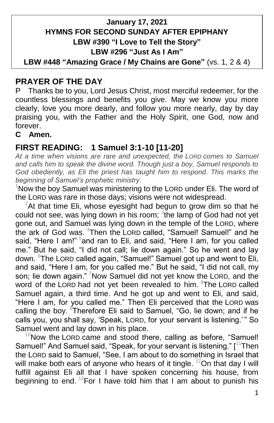### **January 17, 2021 HYMNS FOR SECOND SUNDAY AFTER EPIPHANY LBW #390 "I Love to Tell the Story" LBW #296 "Just As I Am"**

**LBW #448 "Amazing Grace / My Chains are Gone"** (vs. 1, 2 & 4)

# **PRAYER OF THE DAY**

P Thanks be to you, Lord Jesus Christ, most merciful redeemer, for the countless blessings and benefits you give. May we know you more clearly, love you more dearly, and follow you more nearly, day by day praising you, with the Father and the Holy Spirit, one God, now and forever.

#### **C Amen.**

### **FIRST READING: 1 Samuel 3:1-10 [11-20]**

*At a time when visions are rare and unexpected, the LORD comes to Samuel and calls him to speak the divine word. Though just a boy, Samuel responds to God obediently, as Eli the priest has taught him to respond. This marks the beginning of Samuel's prophetic ministry.*

 $1$ Now the boy Samuel was ministering to the LORD under Eli. The word of the LORD was rare in those days; visions were not widespread.

 $2$ At that time Eli, whose eyesight had begun to grow dim so that he could not see, was lying down in his room;  ${}^{3}$ the lamp of God had not yet gone out, and Samuel was lying down in the temple of the LORD, where the ark of God was. <sup>4</sup>Then the LORD called, "Samuel! Samuel!" and he said, "Here I am!" <sup>5</sup>and ran to Eli, and said, "Here I am, for you called me." But he said, "I did not call; lie down again." So he went and lay down. <sup>6</sup>The LORD called again, "Samuel!" Samuel got up and went to Eli, and said, "Here I am, for you called me." But he said, "I did not call, my son; lie down again." Now Samuel did not yet know the LORD, and the word of the LORD had not yet been revealed to him. <sup>8</sup>The LORD called Samuel again, a third time. And he got up and went to Eli, and said, "Here I am, for you called me." Then Eli perceived that the LORD was calling the boy. <sup>9</sup>Therefore Eli said to Samuel, "Go, lie down; and if he calls you, you shall say, 'Speak, LORD, for your servant is listening.'" So Samuel went and lay down in his place.

 $10$ Now the LORD came and stood there, calling as before, "Samuel! Samuel!" And Samuel said, "Speak, for your servant is listening." [<sup>11</sup>Then the LORD said to Samuel, "See, I am about to do something in Israel that will make both ears of anyone who hears of it tingle.  $12$ On that day I will fulfill against Eli all that I have spoken concerning his house, from beginning to end.  $13$  For I have told him that I am about to punish his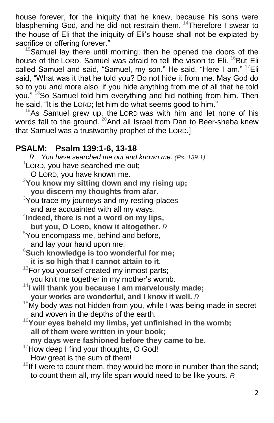house forever, for the iniquity that he knew, because his sons were blaspheming God, and he did not restrain them. <sup>14</sup>Therefore I swear to the house of Eli that the iniquity of Eli's house shall not be expiated by sacrifice or offering forever."

 $15$ Samuel lay there until morning; then he opened the doors of the house of the LORD. Samuel was afraid to tell the vision to Eli. <sup>16</sup>But Eli called Samuel and said, "Samuel, my son." He said, "Here I am."  $17$ Eli said, "What was it that he told you? Do not hide it from me. May God do so to you and more also, if you hide anything from me of all that he told you." <sup>18</sup>So Samuel told him everything and hid nothing from him. Then he said, "It is the LORD; let him do what seems good to him."

 $19$ As Samuel grew up, the LORD was with him and let none of his words fall to the ground. <sup>20</sup> And all Israel from Dan to Beer-sheba knew that Samuel was a trustworthy prophet of the LORD.]

### **PSALM: Psalm 139:1-6, 13-18**

 *R You have searched me out and known me. (Ps. 139:1)*  $1$ LORD, you have searched me out; O LORD, you have known me. <sup>2</sup>**You know my sitting down and my rising up; you discern my thoughts from afar.** <sup>3</sup>You trace my journeys and my resting-places and are acquainted with all my ways. 4 **Indeed, there is not a word on my lips, but you, O LORD, know it altogether.** *R* <sup>5</sup>You encompass me, behind and before, and lay your hand upon me. <sup>6</sup>**Such knowledge is too wonderful for me; it is so high that I cannot attain to it.**  $13$ For you yourself created my inmost parts; you knit me together in my mother's womb. <sup>14</sup>I will thank you because I am marvelously made; **your works are wonderful, and I know it well.** *R*  $15$ My body was not hidden from you, while I was being made in secret and woven in the depths of the earth. <sup>16</sup>**Your eyes beheld my limbs, yet unfinished in the womb; all of them were written in your book; my days were fashioned before they came to be.** <sup>17</sup>How deep I find your thoughts, O God! How great is the sum of them!  $18$ If I were to count them, they would be more in number than the sand;

to count them all, my life span would need to be like yours. *R*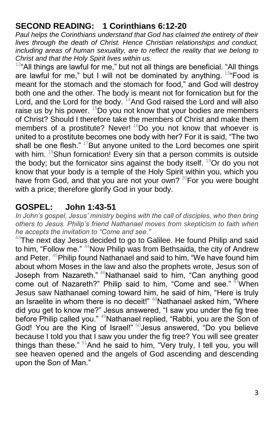# **SECOND READING: 1 Corinthians 6:12-20**

*Paul helps the Corinthians understand that God has claimed the entirety of their lives through the death of Christ. Hence Christian relationships and conduct,*  including areas of human sexuality, are to reflect the reality that we belong to *Christ and that the Holy Spirit lives within us.*

 $12<sup>a</sup>$ All things are lawful for me," but not all things are beneficial. "All things are lawful for me," but I will not be dominated by anything.  $134$ Food is meant for the stomach and the stomach for food," and God will destroy both one and the other. The body is meant not for fornication but for the Lord, and the Lord for the body. <sup>14</sup>And God raised the Lord and will also raise us by his power.  $15$ Do you not know that your bodies are members of Christ? Should I therefore take the members of Christ and make them members of a prostitute? Never!  $16$ Do you not know that whoever is united to a prostitute becomes one body with her? For it is said, "The two shall be one flesh." <sup>17</sup>But anyone united to the Lord becomes one spirit with him. <sup>18</sup>Shun fornication! Every sin that a person commits is outside the body; but the fornicator sins against the body itself.  $19$ Or do you not know that your body is a temple of the Holy Spirit within you, which you have from God, and that you are not your own? <sup>20</sup>For you were bought with a price; therefore glorify God in your body.

# **GOSPEL: John 1:43-51**

*In John's gospel, Jesus' ministry begins with the call of disciples, who then bring others to Jesus. Philip's friend Nathanael moves from skepticism to faith when he accepts the invitation to "Come and see."*

 $43$ The next day Jesus decided to go to Galilee. He found Philip and said to him, "Follow me." <sup>44</sup>Now Philip was from Bethsaida, the city of Andrew and Peter. <sup>45</sup>Philip found Nathanael and said to him, "We have found him about whom Moses in the law and also the prophets wrote, Jesus son of Joseph from Nazareth." <sup>46</sup>Nathanael said to him, "Can anything good come out of Nazareth?" Philip said to him, "Come and see."  $47$ When Jesus saw Nathanael coming toward him, he said of him, "Here is truly an Israelite in whom there is no deceit!" <sup>48</sup>Nathanael asked him, "Where did you get to know me?" Jesus answered, "I saw you under the fig tree before Philip called you." <sup>49</sup>Nathanael replied, "Rabbi, you are the Son of God! You are the King of Israel!" <sup>50</sup>Jesus answered, "Do you believe because I told you that I saw you under the fig tree? You will see greater things than these." <sup>51</sup>And he said to him, "Very truly, I tell you, you will see heaven opened and the angels of God ascending and descending upon the Son of Man."